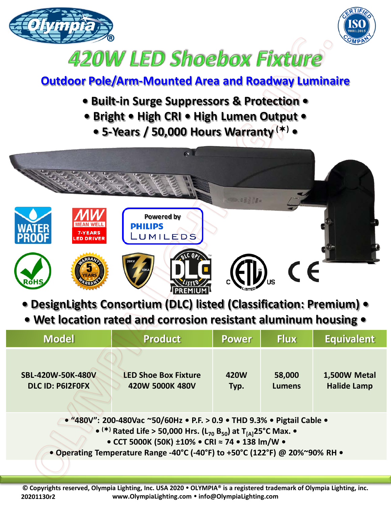



## 420W LED Shoebox Fixture

## **Outdoor Pole/Arm-Mounted Area and Roadway Luminaire**

- **Built-in Surge Suppressors & Protection •**
- **Bright • High CRI • High Lumen Output •**
	- **5-Years / 50,000 Hours Warranty () •**



- **DesignLights Consortium (DLC) listed (Classification: Premium) •**
- **Wet location rated and corrosion resistant aluminum housing •**

| <b>Model</b>                                                                                                                                                                                                                                                                                                  | <b>Product</b>                                 | <b>Power</b> | <b>Flux</b>             | <b>Equivalent</b>                  |  |  |  |
|---------------------------------------------------------------------------------------------------------------------------------------------------------------------------------------------------------------------------------------------------------------------------------------------------------------|------------------------------------------------|--------------|-------------------------|------------------------------------|--|--|--|
| <b>SBL-420W-50K-480V</b><br><b>DLC ID: P6I2F0FX</b>                                                                                                                                                                                                                                                           | <b>LED Shoe Box Fixture</b><br>420W 5000K 480V | 420W<br>Typ. | 58,000<br><b>Lumens</b> | 1,500W Metal<br><b>Halide Lamp</b> |  |  |  |
| • "480V": 200-480Vac ~50/60Hz • P.F. > 0.9 • THD 9.3% • Pigtail Cable •<br>• (*) Rated Life > 50,000 Hrs. (L <sub>70</sub> B <sub>50</sub> ) at T <sub>[A]</sub> 25°C Max. •<br>• CCT 5000K (50K) ±10% • CRI = 74 • 138 lm/W •<br>• Operating Temperature Range -40°C (-40°F) to +50°C (122°F) @ 20%~90% RH . |                                                |              |                         |                                    |  |  |  |
|                                                                                                                                                                                                                                                                                                               |                                                |              |                         |                                    |  |  |  |

**© Copyrights reserved, Olympia Lighting, Inc. USA 2020 OLYMPIA® is a registered trademark of Olympia Lighting, inc. www.OlympiaLighting.com info@OlympiaLighting.com 20201130r2**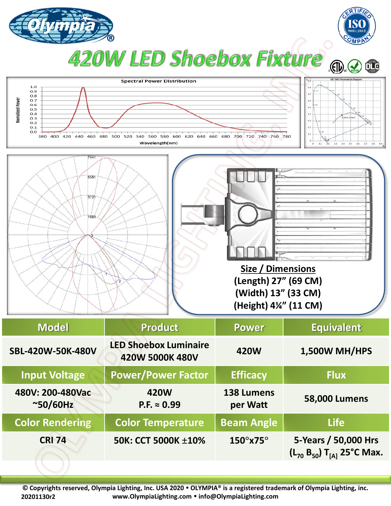

**© Copyrights reserved, Olympia Lighting, Inc. USA 2020 OLYMPIA® is a registered trademark of Olympia Lighting, inc. www.OlympiaLighting.com info@OlympiaLighting.com 20201130r2**

**CRI 74 50K: CCT 5000K ±10% 150°x75° 5-Years / 50,000 Hrs**

**(L70 B50) T[A] 25°C Max.**

**Color Rendering | Color Temperature | Beam Angle | The Life**